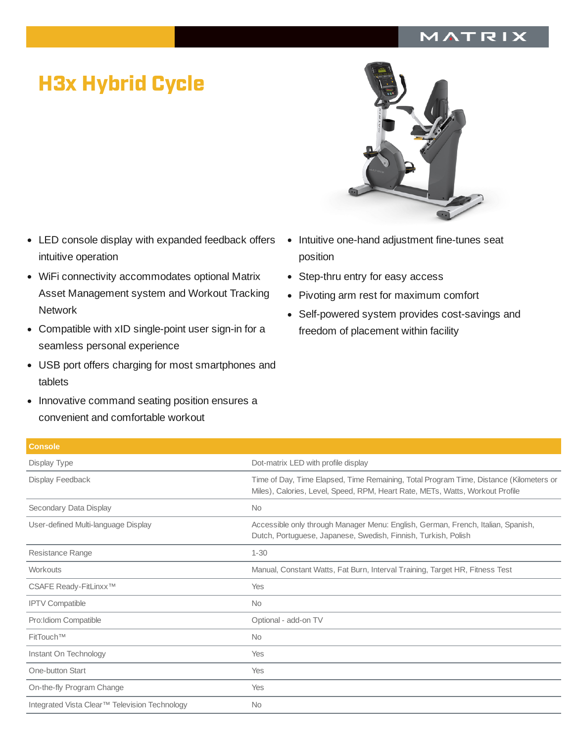## MATRIX

## H3x Hybrid Cycle

- LED console display with expanded feedback offers intuitive operation
- WiFi connectivity accommodates optional Matrix Asset Management system and Workout Tracking **Network**
- Compatible with xID single-point user sign-in for a seamless personal experience
- USB port offers charging for most smartphones and tablets
- Innovative command seating position ensures a convenient and comfortable workout



- Intuitive one-hand adjustment fine-tunes seat position
- Step-thru entry for easy access
- Pivoting arm rest for maximum comfort
- Self-powered system provides cost-savings and freedom of placement within facility

| <b>Console</b>                                |                                                                                                                                                                         |
|-----------------------------------------------|-------------------------------------------------------------------------------------------------------------------------------------------------------------------------|
| Display Type                                  | Dot-matrix LED with profile display                                                                                                                                     |
| Display Feedback                              | Time of Day, Time Elapsed, Time Remaining, Total Program Time, Distance (Kilometers or<br>Miles), Calories, Level, Speed, RPM, Heart Rate, METs, Watts, Workout Profile |
| Secondary Data Display                        | <b>No</b>                                                                                                                                                               |
| User-defined Multi-language Display           | Accessible only through Manager Menu: English, German, French, Italian, Spanish,<br>Dutch, Portuguese, Japanese, Swedish, Finnish, Turkish, Polish                      |
| Resistance Range                              | $1 - 30$                                                                                                                                                                |
| Workouts                                      | Manual, Constant Watts, Fat Burn, Interval Training, Target HR, Fitness Test                                                                                            |
| CSAFE Ready-FitLinxx™                         | Yes                                                                                                                                                                     |
| <b>IPTV Compatible</b>                        | <b>No</b>                                                                                                                                                               |
| Pro: Idiom Compatible                         | Optional - add-on TV                                                                                                                                                    |
| FitTouch™                                     | <b>No</b>                                                                                                                                                               |
| Instant On Technology                         | Yes                                                                                                                                                                     |
| One-button Start                              | Yes                                                                                                                                                                     |
| On-the-fly Program Change                     | Yes                                                                                                                                                                     |
| Integrated Vista Clear™ Television Technology | <b>No</b>                                                                                                                                                               |